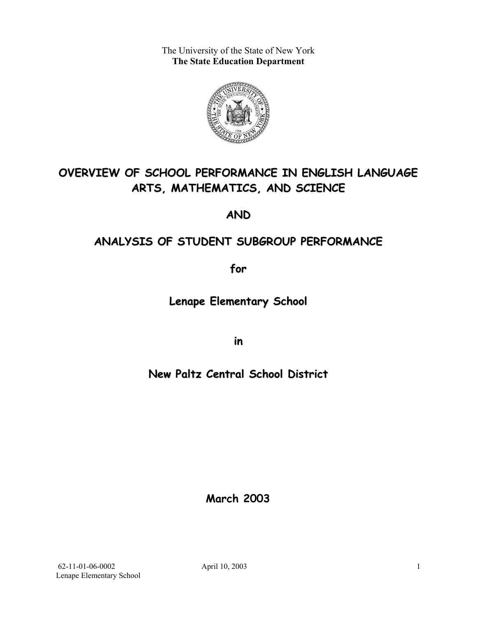The University of the State of New York **The State Education Department** 



# **OVERVIEW OF SCHOOL PERFORMANCE IN ENGLISH LANGUAGE ARTS, MATHEMATICS, AND SCIENCE**

**AND**

## **ANALYSIS OF STUDENT SUBGROUP PERFORMANCE**

**for**

**Lenape Elementary School**

**in**

## **New Paltz Central School District**

**March 2003**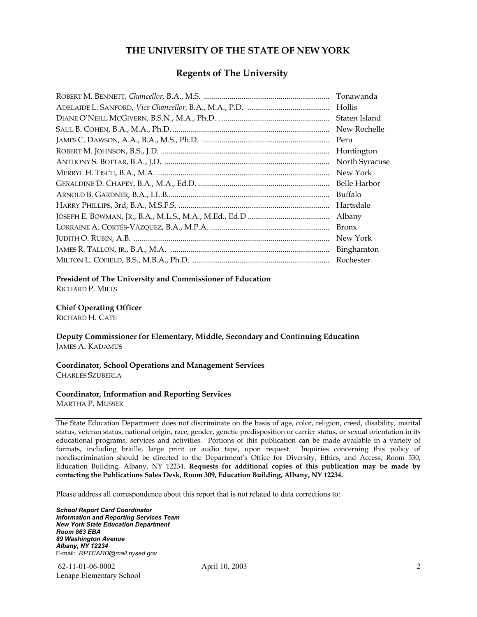#### **THE UNIVERSITY OF THE STATE OF NEW YORK**

#### **Regents of The University**

| Tonawanda      |
|----------------|
| Hollis         |
| Staten Island  |
| New Rochelle   |
| Peru           |
| Huntington     |
| North Syracuse |
| New York       |
| Belle Harbor   |
| Buffalo        |
| Hartsdale      |
| Albany         |
| <b>Bronx</b>   |
| New York       |
| Binghamton     |
| Rochester      |

#### **President of The University and Commissioner of Education**

RICHARD P. MILLS

#### **Chief Operating Officer**

RICHARD H. CATE

**Deputy Commissioner for Elementary, Middle, Secondary and Continuing Education**  JAMES A. KADAMUS

#### **Coordinator, School Operations and Management Services**  CHARLES SZUBERLA

#### **Coordinator, Information and Reporting Services**

MARTHA P. MUSSER

The State Education Department does not discriminate on the basis of age, color, religion, creed, disability, marital status, veteran status, national origin, race, gender, genetic predisposition or carrier status, or sexual orientation in its educational programs, services and activities. Portions of this publication can be made available in a variety of formats, including braille, large print or audio tape, upon request. Inquiries concerning this policy of nondiscrimination should be directed to the Department's Office for Diversity, Ethics, and Access, Room 530, Education Building, Albany, NY 12234. **Requests for additional copies of this publication may be made by contacting the Publications Sales Desk, Room 309, Education Building, Albany, NY 12234.** 

Please address all correspondence about this report that is not related to data corrections to:

*School Report Card Coordinator Information and Reporting Services Team New York State Education Department Room 863 EBA 89 Washington Avenue Albany, NY 12234*  E-mail: *RPTCARD@mail.nysed.gov*

 62-11-01-06-0002 April 10, 2003 Lenape Elementary School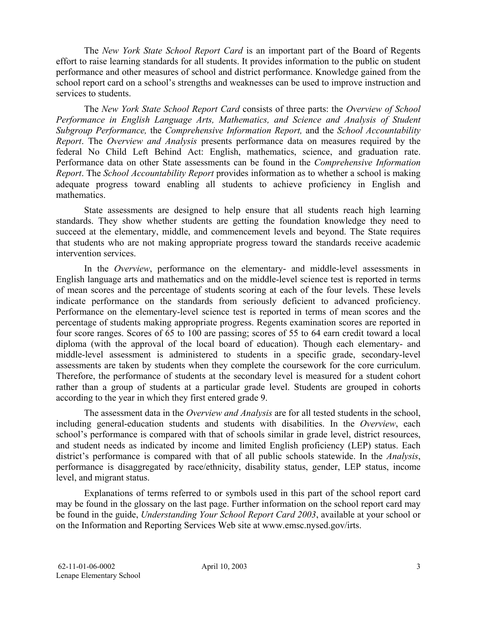The *New York State School Report Card* is an important part of the Board of Regents effort to raise learning standards for all students. It provides information to the public on student performance and other measures of school and district performance. Knowledge gained from the school report card on a school's strengths and weaknesses can be used to improve instruction and services to students.

The *New York State School Report Card* consists of three parts: the *Overview of School Performance in English Language Arts, Mathematics, and Science and Analysis of Student Subgroup Performance,* the *Comprehensive Information Report,* and the *School Accountability Report*. The *Overview and Analysis* presents performance data on measures required by the federal No Child Left Behind Act: English, mathematics, science, and graduation rate. Performance data on other State assessments can be found in the *Comprehensive Information Report*. The *School Accountability Report* provides information as to whether a school is making adequate progress toward enabling all students to achieve proficiency in English and mathematics.

State assessments are designed to help ensure that all students reach high learning standards. They show whether students are getting the foundation knowledge they need to succeed at the elementary, middle, and commencement levels and beyond. The State requires that students who are not making appropriate progress toward the standards receive academic intervention services.

In the *Overview*, performance on the elementary- and middle-level assessments in English language arts and mathematics and on the middle-level science test is reported in terms of mean scores and the percentage of students scoring at each of the four levels. These levels indicate performance on the standards from seriously deficient to advanced proficiency. Performance on the elementary-level science test is reported in terms of mean scores and the percentage of students making appropriate progress. Regents examination scores are reported in four score ranges. Scores of 65 to 100 are passing; scores of 55 to 64 earn credit toward a local diploma (with the approval of the local board of education). Though each elementary- and middle-level assessment is administered to students in a specific grade, secondary-level assessments are taken by students when they complete the coursework for the core curriculum. Therefore, the performance of students at the secondary level is measured for a student cohort rather than a group of students at a particular grade level. Students are grouped in cohorts according to the year in which they first entered grade 9.

The assessment data in the *Overview and Analysis* are for all tested students in the school, including general-education students and students with disabilities. In the *Overview*, each school's performance is compared with that of schools similar in grade level, district resources, and student needs as indicated by income and limited English proficiency (LEP) status. Each district's performance is compared with that of all public schools statewide. In the *Analysis*, performance is disaggregated by race/ethnicity, disability status, gender, LEP status, income level, and migrant status.

Explanations of terms referred to or symbols used in this part of the school report card may be found in the glossary on the last page. Further information on the school report card may be found in the guide, *Understanding Your School Report Card 2003*, available at your school or on the Information and Reporting Services Web site at www.emsc.nysed.gov/irts.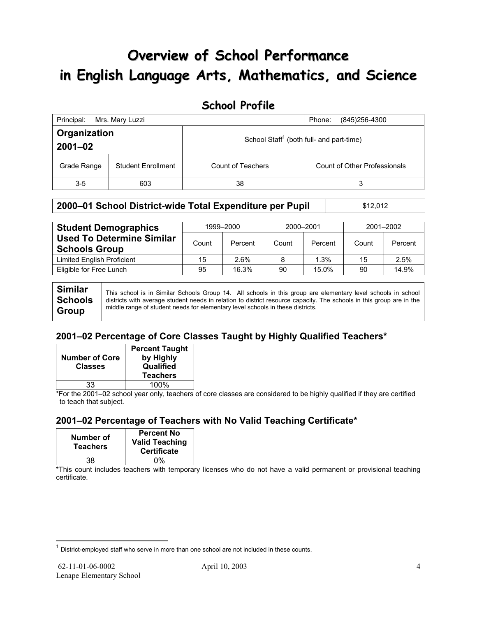# **Overview of School Performance in English Language Arts, Mathematics, and Science**

## **School Profile**

| Principal:                               | Mrs. Mary Luzzi |                   | (845)256-4300<br>Phone:                              |
|------------------------------------------|-----------------|-------------------|------------------------------------------------------|
| Organization<br>$2001 - 02$              |                 |                   | School Staff <sup>1</sup> (both full- and part-time) |
| <b>Student Enrollment</b><br>Grade Range |                 | Count of Teachers | Count of Other Professionals                         |
| $3-5$                                    | 603             | 38                | 3                                                    |

#### **2000–01 School District-wide Total Expenditure per Pupil | \$12,012**

| <b>Student Demographics</b>                              | 1999-2000 |         | 2000-2001 |         | 2001-2002 |         |
|----------------------------------------------------------|-----------|---------|-----------|---------|-----------|---------|
| <b>Used To Determine Similar</b><br><b>Schools Group</b> | Count     | Percent | Count     | Percent | Count     | Percent |
| <b>Limited English Proficient</b>                        | 15        | 2.6%    | 8         | 1.3%    | 15        | 2.5%    |
| Eligible for Free Lunch                                  | 95        | 16.3%   | 90        | 15.0%   | 90        | 14.9%   |

**Similar Schools Group**  This school is in Similar Schools Group 14. All schools in this group are elementary level schools in school districts with average student needs in relation to district resource capacity. The schools in this group are in the middle range of student needs for elementary level schools in these districts.

### **2001–02 Percentage of Core Classes Taught by Highly Qualified Teachers\***

| <b>Number of Core</b><br><b>Classes</b> | <b>Percent Taught</b><br>by Highly<br>Qualified<br><b>Teachers</b> |
|-----------------------------------------|--------------------------------------------------------------------|
| 33                                      | 100%                                                               |

\*For the 2001–02 school year only, teachers of core classes are considered to be highly qualified if they are certified to teach that subject.

### **2001–02 Percentage of Teachers with No Valid Teaching Certificate\***

| Number of<br><b>Teachers</b> | <b>Percent No</b><br><b>Valid Teaching</b><br><b>Certificate</b> |
|------------------------------|------------------------------------------------------------------|
| 38                           | ሰ%                                                               |

\*This count includes teachers with temporary licenses who do not have a valid permanent or provisional teaching certificate.

 $\overline{a}$ 

 $1$  District-employed staff who serve in more than one school are not included in these counts.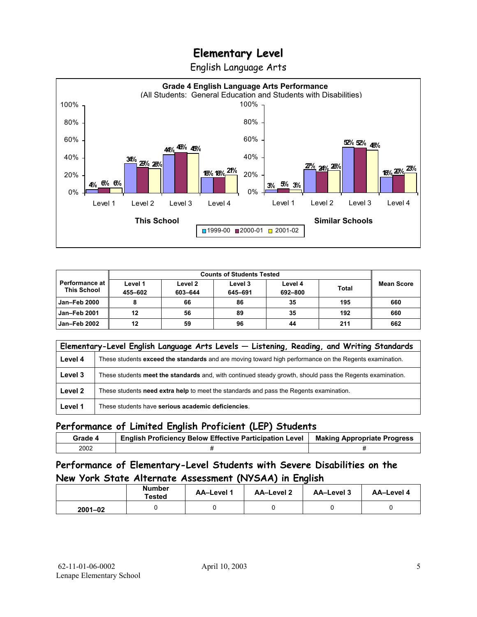English Language Arts



| <b>Counts of Students Tested</b>            |                    |                    |                    |                    |              |            |
|---------------------------------------------|--------------------|--------------------|--------------------|--------------------|--------------|------------|
| <b>Performance at</b><br><b>This School</b> | Level 1<br>455-602 | Level 2<br>603-644 | Level 3<br>645-691 | Level 4<br>692-800 | <b>Total</b> | Mean Score |
| <b>Jan-Feb 2000</b>                         |                    | 66                 | 86                 | 35                 | 195          | 660        |
| <b>Jan-Feb 2001</b>                         | 12                 | 56                 | 89                 | 35                 | 192          | 660        |
| Jan-Feb 2002                                | 12                 | 59                 | 96                 | 44                 | 211          | 662        |

|         | Elementary-Level English Language Arts Levels - Listening, Reading, and Writing Standards                 |  |  |  |  |  |  |
|---------|-----------------------------------------------------------------------------------------------------------|--|--|--|--|--|--|
| Level 4 | These students exceed the standards and are moving toward high performance on the Regents examination.    |  |  |  |  |  |  |
| Level 3 | These students meet the standards and, with continued steady growth, should pass the Regents examination. |  |  |  |  |  |  |
| Level 2 | These students need extra help to meet the standards and pass the Regents examination.                    |  |  |  |  |  |  |
| Level 1 | These students have serious academic deficiencies.                                                        |  |  |  |  |  |  |

### **Performance of Limited English Proficient (LEP) Students**

| Grade 4 | <b>English Proficiency Below Effective Participation Level</b> | <b>Making Appropriate Progress</b> |
|---------|----------------------------------------------------------------|------------------------------------|
| 2002    |                                                                |                                    |

### **Performance of Elementary-Level Students with Severe Disabilities on the New York State Alternate Assessment (NYSAA) in English**

| <b>Number</b><br>Tested |  | <b>AA-Level 1</b> | AA-Level 2 | AA-Level 3 | AA-Level 4 |
|-------------------------|--|-------------------|------------|------------|------------|
| $2001 - 02$             |  |                   |            |            |            |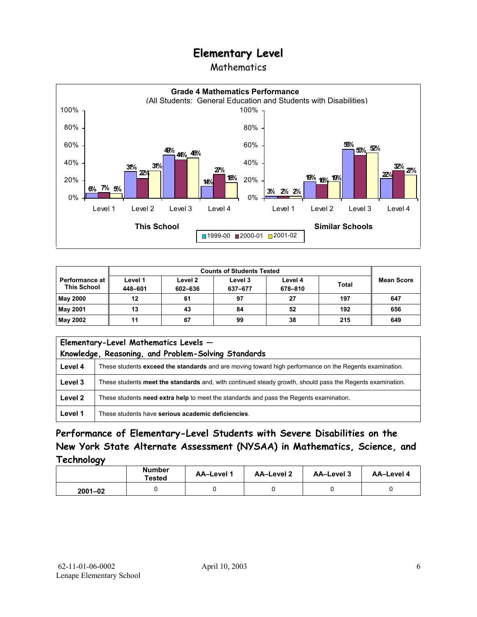### Mathematics



| <b>Counts of Students Tested</b>            |                    |                    |                    |                    |       |                   |
|---------------------------------------------|--------------------|--------------------|--------------------|--------------------|-------|-------------------|
| <b>Performance at</b><br><b>This School</b> | Level 1<br>448-601 | Level 2<br>602-636 | Level 3<br>637-677 | Level 4<br>678-810 | Total | <b>Mean Score</b> |
| <b>May 2000</b>                             | 12                 | 61                 | 97                 | 27                 | 197   | 647               |
| May 2001                                    | 13                 | 43                 | 84                 | 52                 | 192   | 656               |
| May 2002                                    | 11                 | 67                 | 99                 | 38                 | 215   | 649               |

| Elementary-Level Mathematics Levels -<br>Knowledge, Reasoning, and Problem-Solving Standards |                                                                                                           |  |  |  |  |
|----------------------------------------------------------------------------------------------|-----------------------------------------------------------------------------------------------------------|--|--|--|--|
| Level 4                                                                                      | These students exceed the standards and are moving toward high performance on the Regents examination.    |  |  |  |  |
| Level 3                                                                                      | These students meet the standards and, with continued steady growth, should pass the Regents examination. |  |  |  |  |
| Level 2                                                                                      | These students need extra help to meet the standards and pass the Regents examination.                    |  |  |  |  |
| Level 1                                                                                      | These students have serious academic deficiencies.                                                        |  |  |  |  |

### **Performance of Elementary-Level Students with Severe Disabilities on the New York State Alternate Assessment (NYSAA) in Mathematics, Science, and Technology**

|             | <b>Number</b><br>Tested | <b>AA-Level 1</b> | <b>AA-Level 2</b> | <b>AA-Level 3</b> | <b>AA-Level 4</b> |
|-------------|-------------------------|-------------------|-------------------|-------------------|-------------------|
| $2001 - 02$ |                         |                   |                   |                   |                   |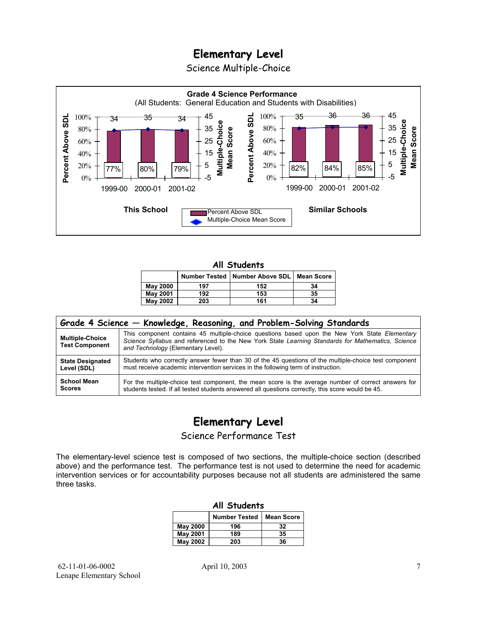Science Multiple-Choice



#### **All Students**

|                 |     | Number Tested   Number Above SDL   Mean Score |    |
|-----------------|-----|-----------------------------------------------|----|
| <b>May 2000</b> | 197 | 152                                           | 34 |
| <b>May 2001</b> | 192 | 153                                           | 35 |
| <b>May 2002</b> | 203 | 161                                           | 34 |

| Grade 4 Science - Knowledge, Reasoning, and Problem-Solving Standards |                                                                                                                                                                                                                                          |  |  |  |  |  |
|-----------------------------------------------------------------------|------------------------------------------------------------------------------------------------------------------------------------------------------------------------------------------------------------------------------------------|--|--|--|--|--|
| <b>Multiple-Choice</b><br><b>Test Component</b>                       | This component contains 45 multiple-choice questions based upon the New York State Elementary<br>Science Syllabus and referenced to the New York State Learning Standards for Mathematics, Science<br>and Technology (Elementary Level). |  |  |  |  |  |
| <b>State Designated</b>                                               | Students who correctly answer fewer than 30 of the 45 questions of the multiple-choice test component                                                                                                                                    |  |  |  |  |  |
| Level (SDL)                                                           | must receive academic intervention services in the following term of instruction.                                                                                                                                                        |  |  |  |  |  |
| <b>School Mean</b>                                                    | For the multiple-choice test component, the mean score is the average number of correct answers for                                                                                                                                      |  |  |  |  |  |
| <b>Scores</b>                                                         | students tested. If all tested students answered all questions correctly, this score would be 45.                                                                                                                                        |  |  |  |  |  |

## **Elementary Level**

Science Performance Test

The elementary-level science test is composed of two sections, the multiple-choice section (described above) and the performance test. The performance test is not used to determine the need for academic intervention services or for accountability purposes because not all students are administered the same three tasks.

| All Students    |                                           |    |  |  |  |  |  |
|-----------------|-------------------------------------------|----|--|--|--|--|--|
|                 | <b>Number Tested</b><br><b>Mean Score</b> |    |  |  |  |  |  |
| May 2000        | 196                                       | 32 |  |  |  |  |  |
| <b>May 2001</b> | 189                                       | 35 |  |  |  |  |  |
| <b>May 2002</b> | 203                                       | 36 |  |  |  |  |  |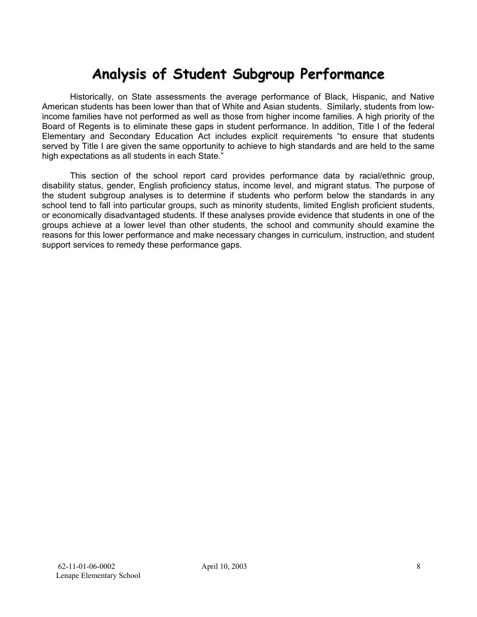# **Analysis of Student Subgroup Performance**

Historically, on State assessments the average performance of Black, Hispanic, and Native American students has been lower than that of White and Asian students. Similarly, students from lowincome families have not performed as well as those from higher income families. A high priority of the Board of Regents is to eliminate these gaps in student performance. In addition, Title I of the federal Elementary and Secondary Education Act includes explicit requirements "to ensure that students served by Title I are given the same opportunity to achieve to high standards and are held to the same high expectations as all students in each State."

This section of the school report card provides performance data by racial/ethnic group, disability status, gender, English proficiency status, income level, and migrant status. The purpose of the student subgroup analyses is to determine if students who perform below the standards in any school tend to fall into particular groups, such as minority students, limited English proficient students, or economically disadvantaged students. If these analyses provide evidence that students in one of the groups achieve at a lower level than other students, the school and community should examine the reasons for this lower performance and make necessary changes in curriculum, instruction, and student support services to remedy these performance gaps.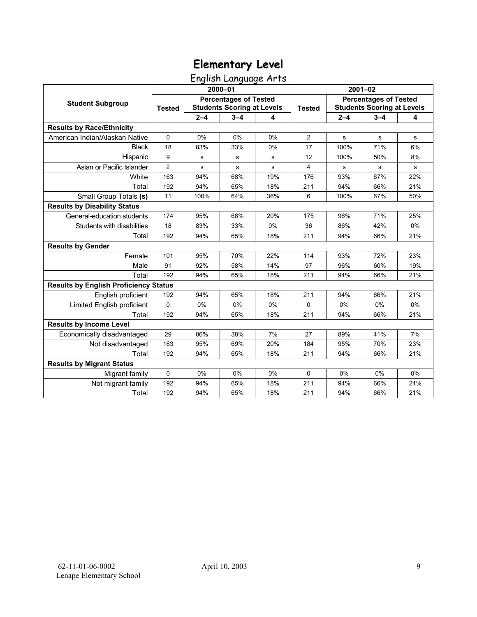## English Language Arts

|                                              | 2000-01       |                                                                   |         |     | $2001 - 02$    |                                                                   |         |     |
|----------------------------------------------|---------------|-------------------------------------------------------------------|---------|-----|----------------|-------------------------------------------------------------------|---------|-----|
| <b>Student Subgroup</b>                      | <b>Tested</b> | <b>Percentages of Tested</b><br><b>Students Scoring at Levels</b> |         |     | <b>Tested</b>  | <b>Percentages of Tested</b><br><b>Students Scoring at Levels</b> |         |     |
|                                              |               | $2 - 4$                                                           | $3 - 4$ | 4   |                | $2 - 4$                                                           | $3 - 4$ | 4   |
| <b>Results by Race/Ethnicity</b>             |               |                                                                   |         |     |                |                                                                   |         |     |
| American Indian/Alaskan Native               | $\mathbf 0$   | 0%                                                                | 0%      | 0%  | $\overline{2}$ | $\mathbf s$                                                       | s       | s   |
| <b>Black</b>                                 | 18            | 83%                                                               | 33%     | 0%  | 17             | 100%                                                              | 71%     | 6%  |
| Hispanic                                     | 9             | s                                                                 | s       | s   | 12             | 100%                                                              | 50%     | 8%  |
| Asian or Pacific Islander                    | 2             | s                                                                 | s       | s   | 4              | s                                                                 | s       | s   |
| White                                        | 163           | 94%                                                               | 68%     | 19% | 176            | 93%                                                               | 67%     | 22% |
| Total                                        | 192           | 94%                                                               | 65%     | 18% | 211            | 94%                                                               | 66%     | 21% |
| Small Group Totals (s)                       | 11            | 100%                                                              | 64%     | 36% | 6              | 100%                                                              | 67%     | 50% |
| <b>Results by Disability Status</b>          |               |                                                                   |         |     |                |                                                                   |         |     |
| General-education students                   | 174           | 95%                                                               | 68%     | 20% | 175            | 96%                                                               | 71%     | 25% |
| Students with disabilities                   | 18            | 83%                                                               | 33%     | 0%  | 36             | 86%                                                               | 42%     | 0%  |
| Total                                        | 192           | 94%                                                               | 65%     | 18% | 211            | 94%                                                               | 66%     | 21% |
| <b>Results by Gender</b>                     |               |                                                                   |         |     |                |                                                                   |         |     |
| Female                                       | 101           | 95%                                                               | 70%     | 22% | 114            | 93%                                                               | 72%     | 23% |
| Male                                         | 91            | 92%                                                               | 58%     | 14% | 97             | 96%                                                               | 60%     | 19% |
| Total                                        | 192           | 94%                                                               | 65%     | 18% | 211            | 94%                                                               | 66%     | 21% |
| <b>Results by English Proficiency Status</b> |               |                                                                   |         |     |                |                                                                   |         |     |
| English proficient                           | 192           | 94%                                                               | 65%     | 18% | 211            | 94%                                                               | 66%     | 21% |
| Limited English proficient                   | $\Omega$      | 0%                                                                | 0%      | 0%  | $\Omega$       | 0%                                                                | 0%      | 0%  |
| Total                                        | 192           | 94%                                                               | 65%     | 18% | 211            | 94%                                                               | 66%     | 21% |
| <b>Results by Income Level</b>               |               |                                                                   |         |     |                |                                                                   |         |     |
| Economically disadvantaged                   | 29            | 86%                                                               | 38%     | 7%  | 27             | 89%                                                               | 41%     | 7%  |
| Not disadvantaged                            | 163           | 95%                                                               | 69%     | 20% | 184            | 95%                                                               | 70%     | 23% |
| Total                                        | 192           | 94%                                                               | 65%     | 18% | 211            | 94%                                                               | 66%     | 21% |
| <b>Results by Migrant Status</b>             |               |                                                                   |         |     |                |                                                                   |         |     |
| Migrant family                               | 0             | 0%                                                                | 0%      | 0%  | $\mathbf 0$    | 0%                                                                | 0%      | 0%  |
| Not migrant family                           | 192           | 94%                                                               | 65%     | 18% | 211            | 94%                                                               | 66%     | 21% |
| Total                                        | 192           | 94%                                                               | 65%     | 18% | 211            | 94%                                                               | 66%     | 21% |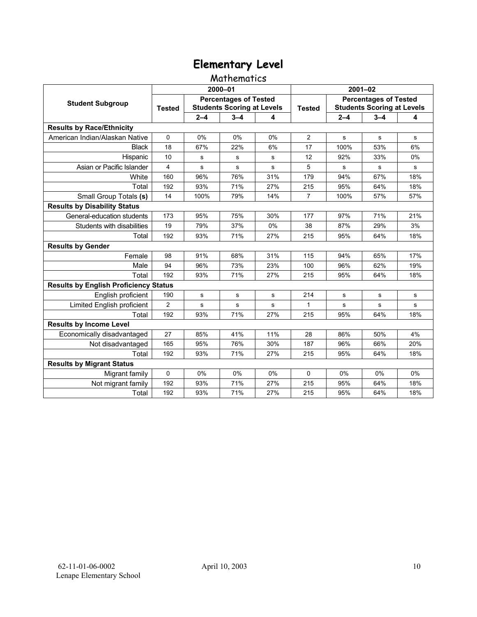### Mathematics

|                                              | 2000-01                                                                            |           |         |               | $2001 - 02$                                                       |         |           |     |  |
|----------------------------------------------|------------------------------------------------------------------------------------|-----------|---------|---------------|-------------------------------------------------------------------|---------|-----------|-----|--|
| <b>Student Subgroup</b>                      | <b>Percentages of Tested</b><br><b>Students Scoring at Levels</b><br><b>Tested</b> |           |         | <b>Tested</b> | <b>Percentages of Tested</b><br><b>Students Scoring at Levels</b> |         |           |     |  |
|                                              |                                                                                    | $2 - 4$   | $3 - 4$ | 4             |                                                                   | $2 - 4$ | $3 - 4$   | 4   |  |
| <b>Results by Race/Ethnicity</b>             |                                                                                    |           |         |               |                                                                   |         |           |     |  |
| American Indian/Alaskan Native               | $\Omega$                                                                           | 0%        | 0%      | 0%            | $\overline{2}$                                                    | s       | s         | s   |  |
| <b>Black</b>                                 | 18                                                                                 | 67%       | 22%     | 6%            | 17                                                                | 100%    | 53%       | 6%  |  |
| Hispanic                                     | 10                                                                                 | s         | s       | s             | 12                                                                | 92%     | 33%       | 0%  |  |
| Asian or Pacific Islander                    | 4                                                                                  | s         | s       | s             | 5                                                                 | s       | s         | s   |  |
| White                                        | 160                                                                                | 96%       | 76%     | 31%           | 179                                                               | 94%     | 67%       | 18% |  |
| Total                                        | 192                                                                                | 93%       | 71%     | 27%           | 215                                                               | 95%     | 64%       | 18% |  |
| Small Group Totals (s)                       | 14                                                                                 | 100%      | 79%     | 14%           | $\overline{7}$                                                    | 100%    | 57%       | 57% |  |
| <b>Results by Disability Status</b>          |                                                                                    |           |         |               |                                                                   |         |           |     |  |
| General-education students                   | 173                                                                                | 95%       | 75%     | 30%           | 177                                                               | 97%     | 71%       | 21% |  |
| Students with disabilities                   | 19                                                                                 | 79%       | 37%     | 0%            | 38                                                                | 87%     | 29%       | 3%  |  |
| Total                                        | 192                                                                                | 93%       | 71%     | 27%           | 215                                                               | 95%     | 64%       | 18% |  |
| <b>Results by Gender</b>                     |                                                                                    |           |         |               |                                                                   |         |           |     |  |
| Female                                       | 98                                                                                 | 91%       | 68%     | 31%           | 115                                                               | 94%     | 65%       | 17% |  |
| Male                                         | 94                                                                                 | 96%       | 73%     | 23%           | 100                                                               | 96%     | 62%       | 19% |  |
| Total                                        | 192                                                                                | 93%       | 71%     | 27%           | 215                                                               | 95%     | 64%       | 18% |  |
| <b>Results by English Proficiency Status</b> |                                                                                    |           |         |               |                                                                   |         |           |     |  |
| English proficient                           | 190                                                                                | ${\bf s}$ | s       | s             | 214                                                               | s       | s         | s   |  |
| Limited English proficient                   | $\overline{c}$                                                                     | s         | s       | s             | 1                                                                 | s       | ${\bf s}$ | s   |  |
| Total                                        | 192                                                                                | 93%       | 71%     | 27%           | 215                                                               | 95%     | 64%       | 18% |  |
| <b>Results by Income Level</b>               |                                                                                    |           |         |               |                                                                   |         |           |     |  |
| Economically disadvantaged                   | 27                                                                                 | 85%       | 41%     | 11%           | 28                                                                | 86%     | 50%       | 4%  |  |
| Not disadvantaged                            | 165                                                                                | 95%       | 76%     | 30%           | 187                                                               | 96%     | 66%       | 20% |  |
| Total                                        | 192                                                                                | 93%       | 71%     | 27%           | 215                                                               | 95%     | 64%       | 18% |  |
| <b>Results by Migrant Status</b>             |                                                                                    |           |         |               |                                                                   |         |           |     |  |
| Migrant family                               | 0                                                                                  | 0%        | 0%      | $0\%$         | $\Omega$                                                          | $0\%$   | 0%        | 0%  |  |
| Not migrant family                           | 192                                                                                | 93%       | 71%     | 27%           | 215                                                               | 95%     | 64%       | 18% |  |
| Total                                        | 192                                                                                | 93%       | 71%     | 27%           | 215                                                               | 95%     | 64%       | 18% |  |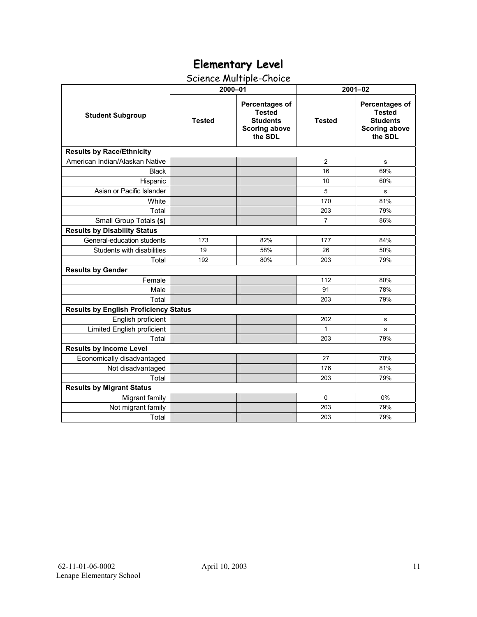## Science Multiple-Choice

|                                              | 2000-01       |                                                                                       | $2001 - 02$    |                                                                                              |  |  |  |
|----------------------------------------------|---------------|---------------------------------------------------------------------------------------|----------------|----------------------------------------------------------------------------------------------|--|--|--|
| <b>Student Subgroup</b>                      | <b>Tested</b> | Percentages of<br><b>Tested</b><br><b>Students</b><br><b>Scoring above</b><br>the SDL | <b>Tested</b>  | <b>Percentages of</b><br><b>Tested</b><br><b>Students</b><br><b>Scoring above</b><br>the SDL |  |  |  |
| <b>Results by Race/Ethnicity</b>             |               |                                                                                       |                |                                                                                              |  |  |  |
| American Indian/Alaskan Native               |               |                                                                                       | $\overline{2}$ | s                                                                                            |  |  |  |
| <b>Black</b>                                 |               |                                                                                       | 16             | 69%                                                                                          |  |  |  |
| Hispanic                                     |               |                                                                                       | 10             | 60%                                                                                          |  |  |  |
| Asian or Pacific Islander                    |               |                                                                                       | 5              | s                                                                                            |  |  |  |
| White                                        |               |                                                                                       | 170            | 81%                                                                                          |  |  |  |
| Total                                        |               |                                                                                       | 203            | 79%                                                                                          |  |  |  |
| Small Group Totals (s)                       |               |                                                                                       | $\overline{7}$ | 86%                                                                                          |  |  |  |
| <b>Results by Disability Status</b>          |               |                                                                                       |                |                                                                                              |  |  |  |
| General-education students                   | 173           | 82%                                                                                   | 177            | 84%                                                                                          |  |  |  |
| Students with disabilities                   | 19            | 58%                                                                                   | 26             | 50%                                                                                          |  |  |  |
| Total                                        | 192           | 80%                                                                                   | 203            | 79%                                                                                          |  |  |  |
| <b>Results by Gender</b>                     |               |                                                                                       |                |                                                                                              |  |  |  |
| Female                                       |               |                                                                                       | 112            | 80%                                                                                          |  |  |  |
| Male                                         |               |                                                                                       | 91             | 78%                                                                                          |  |  |  |
| Total                                        |               |                                                                                       | 203            | 79%                                                                                          |  |  |  |
| <b>Results by English Proficiency Status</b> |               |                                                                                       |                |                                                                                              |  |  |  |
| English proficient                           |               |                                                                                       | 202            | s                                                                                            |  |  |  |
| Limited English proficient                   |               |                                                                                       | 1              | s                                                                                            |  |  |  |
| Total                                        |               |                                                                                       | 203            | 79%                                                                                          |  |  |  |
| <b>Results by Income Level</b>               |               |                                                                                       |                |                                                                                              |  |  |  |
| Economically disadvantaged                   |               |                                                                                       | 27             | 70%                                                                                          |  |  |  |
| Not disadvantaged                            |               |                                                                                       | 176            | 81%                                                                                          |  |  |  |
| Total                                        |               |                                                                                       | 203            | 79%                                                                                          |  |  |  |
| <b>Results by Migrant Status</b>             |               |                                                                                       |                |                                                                                              |  |  |  |
| Migrant family                               |               |                                                                                       | $\Omega$       | 0%                                                                                           |  |  |  |
| Not migrant family                           |               |                                                                                       | 203            | 79%                                                                                          |  |  |  |
| Total                                        |               |                                                                                       | 203            | 79%                                                                                          |  |  |  |